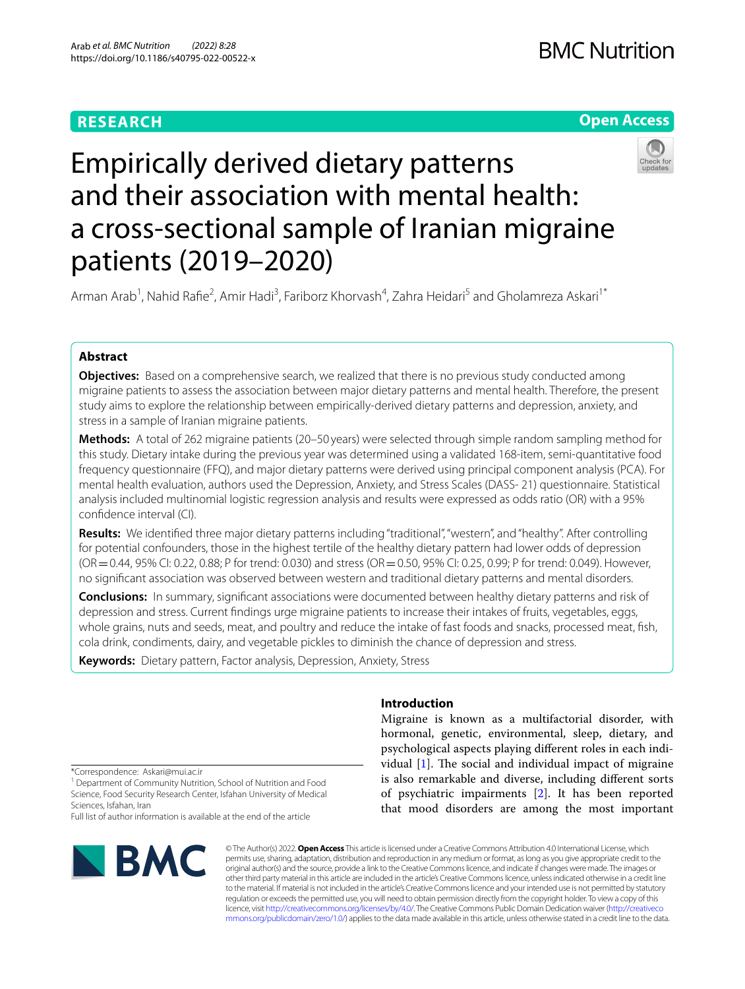## **RESEARCH**

## **Open Access**



# Empirically derived dietary patterns and their association with mental health: a cross-sectional sample of Iranian migraine patients (2019–2020)

Arman Arab<sup>1</sup>, Nahid Rafie<sup>2</sup>, Amir Hadi<sup>3</sup>, Fariborz Khorvash<sup>4</sup>, Zahra Heidari<sup>5</sup> and Gholamreza Askari<sup>1\*</sup>

## **Abstract**

**Objectives:** Based on a comprehensive search, we realized that there is no previous study conducted among migraine patients to assess the association between major dietary patterns and mental health. Therefore, the present study aims to explore the relationship between empirically-derived dietary patterns and depression, anxiety, and stress in a sample of Iranian migraine patients.

**Methods:** A total of 262 migraine patients (20–50 years) were selected through simple random sampling method for this study. Dietary intake during the previous year was determined using a validated 168-item, semi-quantitative food frequency questionnaire (FFQ), and major dietary patterns were derived using principal component analysis (PCA). For mental health evaluation, authors used the Depression, Anxiety, and Stress Scales (DASS- 21) questionnaire. Statistical analysis included multinomial logistic regression analysis and results were expressed as odds ratio (OR) with a 95% confdence interval (CI).

**Results:** We identified three major dietary patterns including "traditional", "western", and "healthy". After controlling for potential confounders, those in the highest tertile of the healthy dietary pattern had lower odds of depression (OR=0.44, 95% CI: 0.22, 0.88; P for trend: 0.030) and stress (OR=0.50, 95% CI: 0.25, 0.99; P for trend: 0.049). However, no signifcant association was observed between western and traditional dietary patterns and mental disorders.

**Conclusions:** In summary, signifcant associations were documented between healthy dietary patterns and risk of depression and stress. Current fndings urge migraine patients to increase their intakes of fruits, vegetables, eggs, whole grains, nuts and seeds, meat, and poultry and reduce the intake of fast foods and snacks, processed meat, fsh, cola drink, condiments, dairy, and vegetable pickles to diminish the chance of depression and stress.

**Keywords:** Dietary pattern, Factor analysis, Depression, Anxiety, Stress

## **Introduction**

Migraine is known as a multifactorial disorder, with hormonal, genetic, environmental, sleep, dietary, and psychological aspects playing diferent roles in each individual  $[1]$  $[1]$ . The social and individual impact of migraine is also remarkable and diverse, including diferent sorts of psychiatric impairments [[2\]](#page-10-1). It has been reported that mood disorders are among the most important

<sup>1</sup> Department of Community Nutrition, School of Nutrition and Food Science, Food Security Research Center, Isfahan University of Medical Sciences, Isfahan, Iran

Full list of author information is available at the end of the article



© The Author(s) 2022. **Open Access** This article is licensed under a Creative Commons Attribution 4.0 International License, which permits use, sharing, adaptation, distribution and reproduction in any medium or format, as long as you give appropriate credit to the original author(s) and the source, provide a link to the Creative Commons licence, and indicate if changes were made. The images or other third party material in this article are included in the article's Creative Commons licence, unless indicated otherwise in a credit line to the material. If material is not included in the article's Creative Commons licence and your intended use is not permitted by statutory regulation or exceeds the permitted use, you will need to obtain permission directly from the copyright holder. To view a copy of this licence, visit [http://creativecommons.org/licenses/by/4.0/.](http://creativecommons.org/licenses/by/4.0/) The Creative Commons Public Domain Dedication waiver ([http://creativeco](http://creativecommons.org/publicdomain/zero/1.0/) [mmons.org/publicdomain/zero/1.0/](http://creativecommons.org/publicdomain/zero/1.0/)) applies to the data made available in this article, unless otherwise stated in a credit line to the data.

<sup>\*</sup>Correspondence: Askari@mui.ac.ir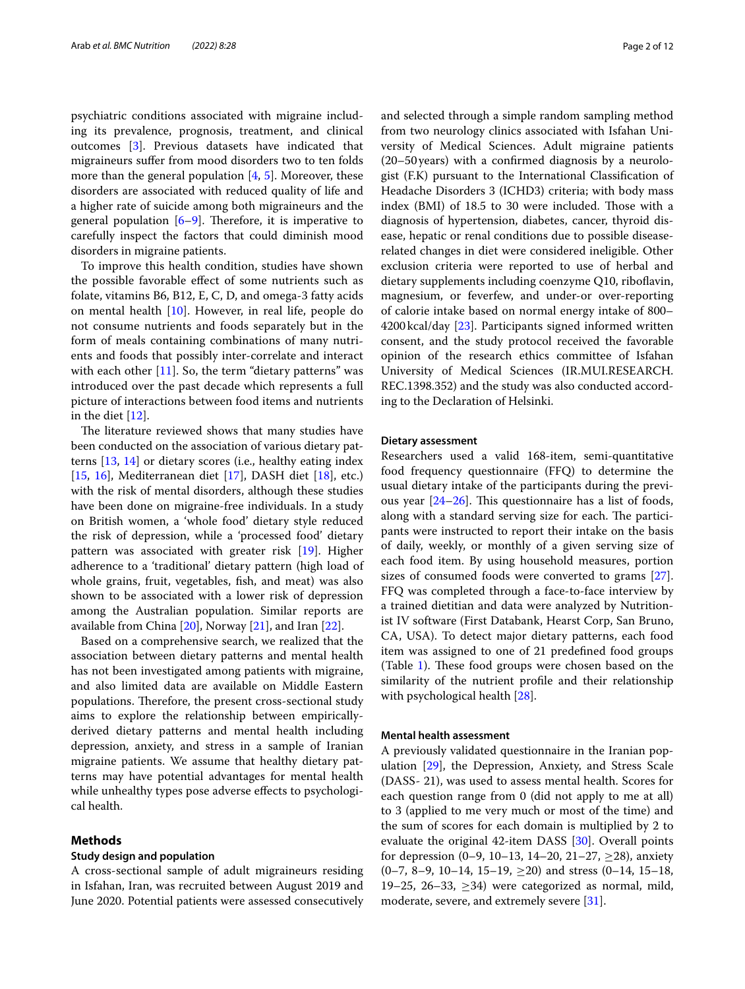psychiatric conditions associated with migraine including its prevalence, prognosis, treatment, and clinical outcomes [\[3](#page-10-2)]. Previous datasets have indicated that migraineurs sufer from mood disorders two to ten folds more than the general population  $[4, 5]$  $[4, 5]$  $[4, 5]$  $[4, 5]$ . Moreover, these disorders are associated with reduced quality of life and a higher rate of suicide among both migraineurs and the general population  $[6-9]$  $[6-9]$  $[6-9]$ . Therefore, it is imperative to carefully inspect the factors that could diminish mood disorders in migraine patients.

To improve this health condition, studies have shown the possible favorable efect of some nutrients such as folate, vitamins B6, B12, E, C, D, and omega-3 fatty acids on mental health [[10\]](#page-10-7). However, in real life, people do not consume nutrients and foods separately but in the form of meals containing combinations of many nutrients and foods that possibly inter-correlate and interact with each other  $[11]$  $[11]$ . So, the term "dietary patterns" was introduced over the past decade which represents a full picture of interactions between food items and nutrients in the diet [\[12](#page-10-9)].

The literature reviewed shows that many studies have been conducted on the association of various dietary patterns [[13,](#page-10-10) [14\]](#page-10-11) or dietary scores (i.e., healthy eating index [[15,](#page-10-12) [16](#page-10-13)], Mediterranean diet [[17\]](#page-10-14), DASH diet [[18\]](#page-10-15), etc.) with the risk of mental disorders, although these studies have been done on migraine-free individuals. In a study on British women, a 'whole food' dietary style reduced the risk of depression, while a 'processed food' dietary pattern was associated with greater risk [\[19](#page-10-16)]. Higher adherence to a 'traditional' dietary pattern (high load of whole grains, fruit, vegetables, fsh, and meat) was also shown to be associated with a lower risk of depression among the Australian population. Similar reports are available from China [[20\]](#page-10-17), Norway [[21](#page-10-18)], and Iran [\[22\]](#page-10-19).

Based on a comprehensive search, we realized that the association between dietary patterns and mental health has not been investigated among patients with migraine, and also limited data are available on Middle Eastern populations. Therefore, the present cross-sectional study aims to explore the relationship between empiricallyderived dietary patterns and mental health including depression, anxiety, and stress in a sample of Iranian migraine patients. We assume that healthy dietary patterns may have potential advantages for mental health while unhealthy types pose adverse effects to psychological health.

#### **Methods**

## **Study design and population**

A cross-sectional sample of adult migraineurs residing in Isfahan, Iran, was recruited between August 2019 and June 2020. Potential patients were assessed consecutively and selected through a simple random sampling method from two neurology clinics associated with Isfahan University of Medical Sciences. Adult migraine patients (20–50years) with a confrmed diagnosis by a neurologist (F.K) pursuant to the International Classifcation of Headache Disorders 3 (ICHD3) criteria; with body mass index (BMI) of 18.5 to 30 were included. Those with a diagnosis of hypertension, diabetes, cancer, thyroid disease, hepatic or renal conditions due to possible diseaserelated changes in diet were considered ineligible. Other exclusion criteria were reported to use of herbal and dietary supplements including coenzyme Q10, ribofavin, magnesium, or feverfew, and under-or over-reporting of calorie intake based on normal energy intake of 800– 4200kcal/day [\[23](#page-10-20)]. Participants signed informed written consent, and the study protocol received the favorable opinion of the research ethics committee of Isfahan University of Medical Sciences (IR.MUI.RESEARCH. REC.1398.352) and the study was also conducted according to the Declaration of Helsinki.

#### **Dietary assessment**

Researchers used a valid 168-item, semi-quantitative food frequency questionnaire (FFQ) to determine the usual dietary intake of the participants during the previous year  $[24-26]$  $[24-26]$ . This questionnaire has a list of foods, along with a standard serving size for each. The participants were instructed to report their intake on the basis of daily, weekly, or monthly of a given serving size of each food item. By using household measures, portion sizes of consumed foods were converted to grams [\[27](#page-11-1)]. FFQ was completed through a face-to-face interview by a trained dietitian and data were analyzed by Nutritionist IV software (First Databank, Hearst Corp, San Bruno, CA, USA). To detect major dietary patterns, each food item was assigned to one of 21 predefned food groups (Table [1\)](#page-2-0). These food groups were chosen based on the similarity of the nutrient profle and their relationship with psychological health [\[28\]](#page-11-2).

#### **Mental health assessment**

A previously validated questionnaire in the Iranian population [\[29\]](#page-11-3), the Depression, Anxiety, and Stress Scale (DASS- 21), was used to assess mental health. Scores for each question range from 0 (did not apply to me at all) to 3 (applied to me very much or most of the time) and the sum of scores for each domain is multiplied by 2 to evaluate the original 42-item DASS [\[30](#page-11-4)]. Overall points for depression (0–9, 10–13, 14–20, 21–27,  $\geq$ 28), anxiety  $(0-7, 8-9, 10-14, 15-19, \ge 20)$  and stress  $(0-14, 15-18,$ 19–25, 26–33,  $\geq$ 34) were categorized as normal, mild, moderate, severe, and extremely severe [[31](#page-11-5)].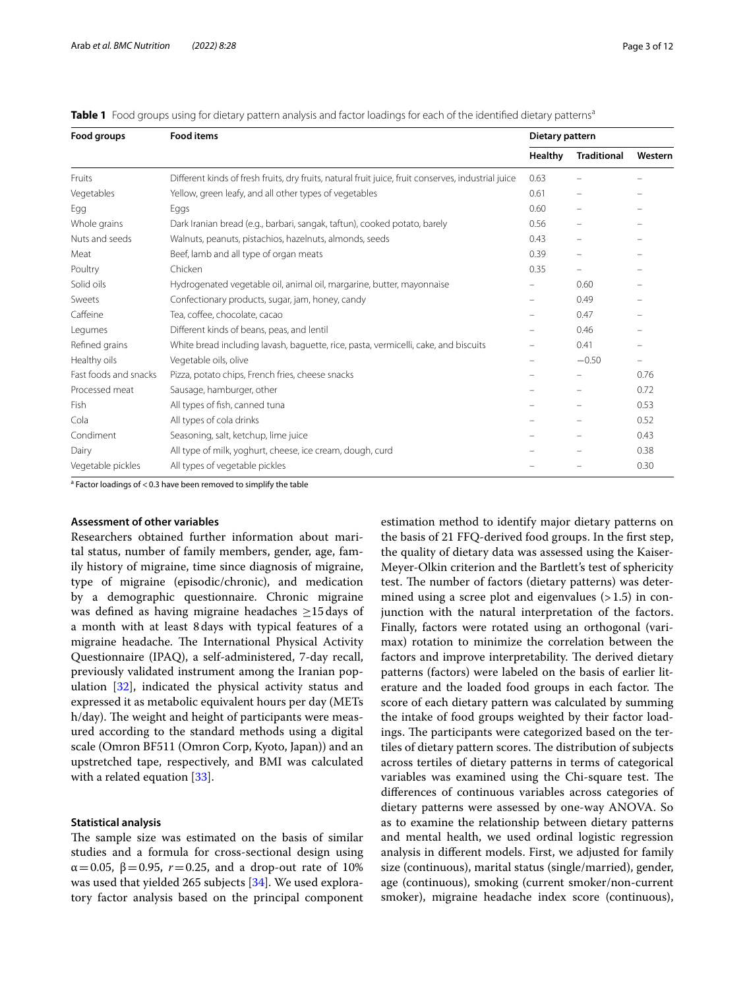| Food groups           | <b>Food items</b>                                                                                   | Dietary pattern |                          |                          |
|-----------------------|-----------------------------------------------------------------------------------------------------|-----------------|--------------------------|--------------------------|
|                       |                                                                                                     | <b>Healthy</b>  | <b>Traditional</b>       | Western                  |
| Fruits                | Different kinds of fresh fruits, dry fruits, natural fruit juice, fruit conserves, industrial juice | 0.63            |                          |                          |
| Vegetables            | Yellow, green leafy, and all other types of vegetables                                              | 0.61            | -                        |                          |
| Egg                   | Eggs                                                                                                | 0.60            | -                        |                          |
| Whole grains          | Dark Iranian bread (e.g., barbari, sangak, taftun), cooked potato, barely                           | 0.56            | $\equiv$                 |                          |
| Nuts and seeds        | Walnuts, peanuts, pistachios, hazelnuts, almonds, seeds                                             | 0.43            | -                        |                          |
| Meat                  | Beef, lamb and all type of organ meats                                                              | 0.39            | $\equiv$                 |                          |
| Poultry               | Chicken                                                                                             | 0.35            | $\overline{\phantom{0}}$ |                          |
| Solid oils            | Hydrogenated vegetable oil, animal oil, margarine, butter, mayonnaise                               |                 | 0.60                     |                          |
| Sweets                | Confectionary products, sugar, jam, honey, candy                                                    |                 | 0.49                     |                          |
| Caffeine              | Tea, coffee, chocolate, cacao                                                                       |                 | 0.47                     |                          |
| Legumes               | Different kinds of beans, peas, and lentil                                                          |                 | 0.46                     |                          |
| Refined grains        | White bread including lavash, baguette, rice, pasta, vermicelli, cake, and biscuits                 | -               | 0.41                     | $\overline{\phantom{m}}$ |
| Healthy oils          | Vegetable oils, olive                                                                               |                 | $-0.50$                  | $\qquad \qquad -$        |
| Fast foods and snacks | Pizza, potato chips, French fries, cheese snacks                                                    |                 |                          | 0.76                     |
| Processed meat        | Sausage, hamburger, other                                                                           |                 |                          | 0.72                     |
| Fish                  | All types of fish, canned tuna                                                                      |                 |                          | 0.53                     |
| Cola                  | All types of cola drinks                                                                            |                 | -                        | 0.52                     |
| Condiment             | Seasoning, salt, ketchup, lime juice                                                                |                 |                          | 0.43                     |
| Dairy                 | All type of milk, yoghurt, cheese, ice cream, dough, curd                                           |                 |                          | 0.38                     |
| Vegetable pickles     | All types of vegetable pickles                                                                      |                 |                          | 0.30                     |

<span id="page-2-0"></span>**Table 1** Food groups using for dietary pattern analysis and factor loadings for each of the identified dietary patterns<sup>a</sup>

<sup>a</sup> Factor loadings of < 0.3 have been removed to simplify the table

#### **Assessment of other variables**

Researchers obtained further information about marital status, number of family members, gender, age, family history of migraine, time since diagnosis of migraine, type of migraine (episodic/chronic), and medication by a demographic questionnaire. Chronic migraine was defned as having migraine headaches ≥15days of a month with at least 8days with typical features of a migraine headache. The International Physical Activity Questionnaire (IPAQ), a self-administered, 7-day recall, previously validated instrument among the Iranian population [\[32](#page-11-6)], indicated the physical activity status and expressed it as metabolic equivalent hours per day (METs h/day). The weight and height of participants were measured according to the standard methods using a digital scale (Omron BF511 (Omron Corp, Kyoto, Japan)) and an upstretched tape, respectively, and BMI was calculated with a related equation [[33\]](#page-11-7).

#### **Statistical analysis**

The sample size was estimated on the basis of similar studies and a formula for cross-sectional design using  $α=0.05, β=0.95, r=0.25, and a drop-out rate of 10%$ was used that yielded 265 subjects [[34](#page-11-8)]. We used exploratory factor analysis based on the principal component estimation method to identify major dietary patterns on the basis of 21 FFQ-derived food groups. In the frst step, the quality of dietary data was assessed using the Kaiser-Meyer-Olkin criterion and the Bartlett's test of sphericity test. The number of factors (dietary patterns) was determined using a scree plot and eigenvalues  $(>1.5)$  in conjunction with the natural interpretation of the factors. Finally, factors were rotated using an orthogonal (varimax) rotation to minimize the correlation between the factors and improve interpretability. The derived dietary patterns (factors) were labeled on the basis of earlier literature and the loaded food groups in each factor. The score of each dietary pattern was calculated by summing the intake of food groups weighted by their factor loadings. The participants were categorized based on the tertiles of dietary pattern scores. The distribution of subjects across tertiles of dietary patterns in terms of categorical variables was examined using the Chi-square test. The diferences of continuous variables across categories of dietary patterns were assessed by one-way ANOVA. So as to examine the relationship between dietary patterns and mental health, we used ordinal logistic regression analysis in diferent models. First, we adjusted for family size (continuous), marital status (single/married), gender, age (continuous), smoking (current smoker/non-current smoker), migraine headache index score (continuous),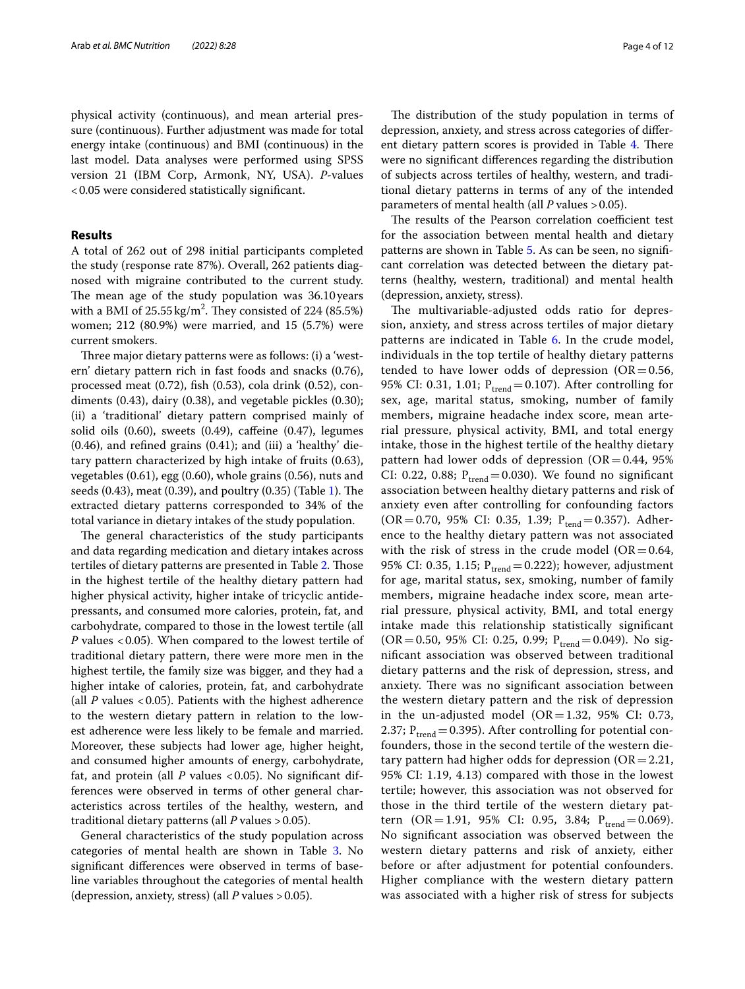physical activity (continuous), and mean arterial pressure (continuous). Further adjustment was made for total energy intake (continuous) and BMI (continuous) in the last model. Data analyses were performed using SPSS version 21 (IBM Corp, Armonk, NY, USA). *P*-values <0.05 were considered statistically signifcant.

#### **Results**

A total of 262 out of 298 initial participants completed the study (response rate 87%). Overall, 262 patients diagnosed with migraine contributed to the current study. The mean age of the study population was 36.10 years with a BMI of  $25.55 \,\mathrm{kg/m^2}$ . They consisted of 224 (85.5%) women; 212 (80.9%) were married, and 15 (5.7%) were current smokers.

Three major dietary patterns were as follows: (i) a 'western' dietary pattern rich in fast foods and snacks (0.76), processed meat (0.72), fsh (0.53), cola drink (0.52), condiments (0.43), dairy (0.38), and vegetable pickles (0.30); (ii) a 'traditional' dietary pattern comprised mainly of solid oils  $(0.60)$ , sweets  $(0.49)$ , caffeine  $(0.47)$ , legumes (0.46), and refned grains (0.41); and (iii) a 'healthy' dietary pattern characterized by high intake of fruits (0.63), vegetables (0.61), egg (0.60), whole grains (0.56), nuts and seeds  $(0.43)$ , meat  $(0.39)$ , and poultry  $(0.35)$  (Table [1\)](#page-2-0). The extracted dietary patterns corresponded to 34% of the total variance in dietary intakes of the study population.

The general characteristics of the study participants and data regarding medication and dietary intakes across tertiles of dietary patterns are presented in Table [2.](#page-4-0) Those in the highest tertile of the healthy dietary pattern had higher physical activity, higher intake of tricyclic antidepressants, and consumed more calories, protein, fat, and carbohydrate, compared to those in the lowest tertile (all *P* values <0.05). When compared to the lowest tertile of traditional dietary pattern, there were more men in the highest tertile, the family size was bigger, and they had a higher intake of calories, protein, fat, and carbohydrate (all *P* values <0.05). Patients with the highest adherence to the western dietary pattern in relation to the lowest adherence were less likely to be female and married. Moreover, these subjects had lower age, higher height, and consumed higher amounts of energy, carbohydrate, fat, and protein (all *P* values <0.05). No significant differences were observed in terms of other general characteristics across tertiles of the healthy, western, and traditional dietary patterns (all *P* values >0.05).

General characteristics of the study population across categories of mental health are shown in Table [3](#page-6-0). No signifcant diferences were observed in terms of baseline variables throughout the categories of mental health (depression, anxiety, stress) (all *P* values >0.05).

The distribution of the study population in terms of depression, anxiety, and stress across categories of difer-ent dietary pattern scores is provided in Table [4](#page-7-0). There were no signifcant diferences regarding the distribution of subjects across tertiles of healthy, western, and traditional dietary patterns in terms of any of the intended parameters of mental health (all *P* values > 0.05).

The results of the Pearson correlation coefficient test for the association between mental health and dietary patterns are shown in Table [5](#page-7-1). As can be seen, no signifcant correlation was detected between the dietary patterns (healthy, western, traditional) and mental health (depression, anxiety, stress).

The multivariable-adjusted odds ratio for depression, anxiety, and stress across tertiles of major dietary patterns are indicated in Table [6](#page-8-0). In the crude model, individuals in the top tertile of healthy dietary patterns tended to have lower odds of depression ( $OR = 0.56$ , 95% CI: 0.31, 1.01;  $P_{trend} = 0.107$ ). After controlling for sex, age, marital status, smoking, number of family members, migraine headache index score, mean arterial pressure, physical activity, BMI, and total energy intake, those in the highest tertile of the healthy dietary pattern had lower odds of depression (OR  $=$  0.44, 95% CI: 0.22, 0.88;  $P_{trend} = 0.030$ ). We found no significant association between healthy dietary patterns and risk of anxiety even after controlling for confounding factors (OR=0.70, 95% CI: 0.35, 1.39;  $P_{tend}$ =0.357). Adherence to the healthy dietary pattern was not associated with the risk of stress in the crude model ( $OR = 0.64$ , 95% CI: 0.35, 1.15;  $P_{trend} = 0.222$ ); however, adjustment for age, marital status, sex, smoking, number of family members, migraine headache index score, mean arterial pressure, physical activity, BMI, and total energy intake made this relationship statistically signifcant (OR=0.50, 95% CI: 0.25, 0.99;  $P_{trend} = 0.049$ ). No signifcant association was observed between traditional dietary patterns and the risk of depression, stress, and anxiety. There was no significant association between the western dietary pattern and the risk of depression in the un-adjusted model (OR=1.32, 95% CI: 0.73, 2.37;  $P_{trend} = 0.395$ ). After controlling for potential confounders, those in the second tertile of the western dietary pattern had higher odds for depression ( $OR = 2.21$ , 95% CI: 1.19, 4.13) compared with those in the lowest tertile; however, this association was not observed for those in the third tertile of the western dietary pattern (OR=1.91, 95% CI: 0.95, 3.84;  $P_{trend} = 0.069$ ). No signifcant association was observed between the western dietary patterns and risk of anxiety, either before or after adjustment for potential confounders. Higher compliance with the western dietary pattern was associated with a higher risk of stress for subjects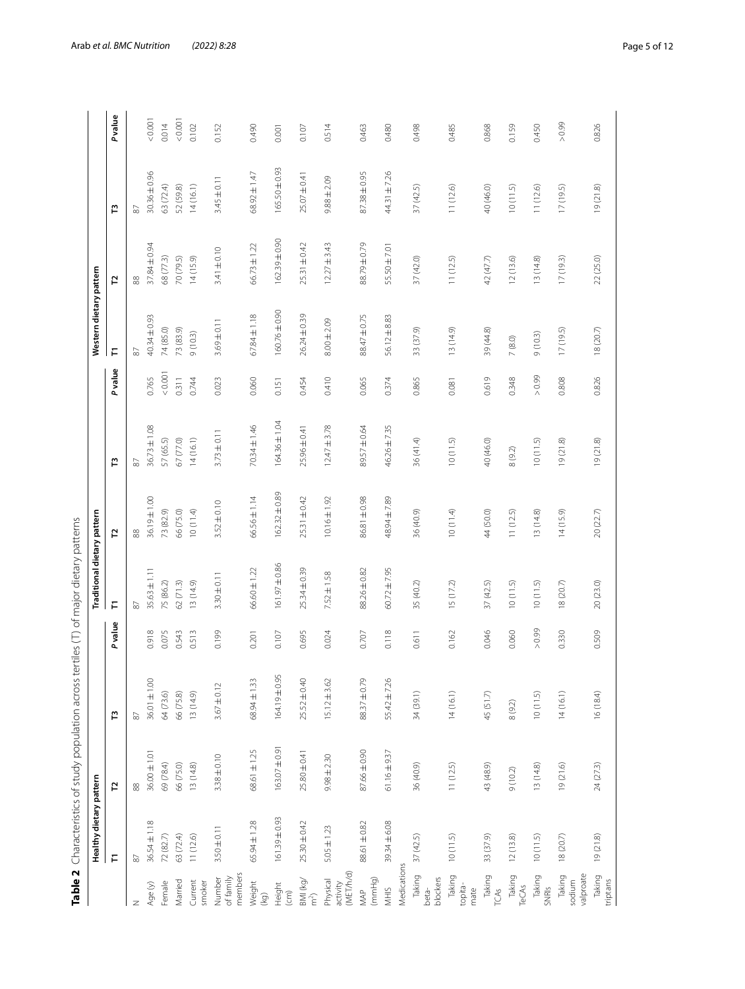|                                   | Healthy dietary pattern |                   |                   |                | Traditional dietary pattern |                   |                   |        | Western dietary pattern |                  |                  |        |
|-----------------------------------|-------------------------|-------------------|-------------------|----------------|-----------------------------|-------------------|-------------------|--------|-------------------------|------------------|------------------|--------|
|                                   | F                       | 51                | r                 | <b>P</b> value | F                           | 51                | r                 | Pvalue | F                       | 5                | r                | Pvalue |
| z                                 | $\approx$               | $88$              | $\overline{8}$    |                | $\overline{8}$              | $88$              | $\overline{8}$    |        | $87\,$                  | $_{88}$          | 87               |        |
| Age (y)                           | 36.54±1.18              | $36.00 \pm 1.01$  | $36.01 + 1.00$    | 0.918          | $35.63 \pm 1.11$            | 36.19±1.00        | $36.73 \pm 1.08$  | 0.765  | 40.34±0.93              | 37.84±0.94       | 30.36±0.96       | 0.0001 |
| Female                            | 72 (82.7)               | 69 (78.4)         | 64 (73.6)         | 0.075          | 75 (86.2)                   | 73 (82.9)         | 57 (65.5)         | 0.001  | 74 (85.0)               | 68 (77.3)        | 63 (72.4)        | 0.014  |
| Married                           | 63 (72.4)               | 66 (75.0)         | 66 (75.8)         | 0.543          | 62(71.3)                    | 66 (75.0)         | 67 (77.0)         | 0.311  | 73 (83.9)               | 70 (79.5)        | 52 (59.8)        | 0.001  |
| Current<br>smoker                 | 11(12.6)                | 13(14.8)          | 13 (14.9)         | 0.513          | 13(14.9)                    | 10(11.4)          | 14(16.1)          | 0.744  | 9(10.3)                 | 14(15.9)         | 14(16.1)         | 0.102  |
| members<br>of family<br>Number    | $3.50 \pm 0.11$         | $3.38 + 0.10$     | $3.67 \pm 0.12$   | 0.199          | $3.30 \pm 0.11$             | $3.52 \pm 0.10$   | $3.73 \pm 0.11$   | 0.023  | $3.69 \pm 0.11$         | $3.41 + 0.10$    | $3.45 \pm 0.11$  | 0.152  |
| Weight<br>(kg)                    | $65.94 \pm 1.28$        | $68.61 \pm 1.25$  | 68.94 ± 1.33      | 0.201          | $66.60 \pm 1.22$            | $66.56 \pm 1.14$  | 70.34±1.46        | 0.060  | $67.84 \pm 1.18$        | $66.73 \pm 1.22$ | $68.92 \pm 1.47$ | 0.490  |
| Height<br>$\widehat{E}$           | 161.39 ± 0.93           | $163.07 \pm 0.91$ | $164.19 \pm 0.95$ | 0.107          | $161.97 \pm 0.86$           | $162.32 \pm 0.89$ | $164.36 \pm 1.04$ | 0.151  | $160.76 \pm 0.90$       | 162.39±0.90      | 165.50 ± 0.93    | 0.001  |
| $\frac{1}{2}$ and (kg/            | $25.30 \pm 0.42$        | $25.80 \pm 0.41$  | 25.52 ± 0.40      | 0.695          | $25.34 \pm 0.39$            | 25.31 ± 0.42      | $25.96 \pm 0.41$  | 0.454  | $26.24 \pm 0.39$        | 25.31 ±0.42      | $25.07 \pm 0.41$ | 0.107  |
| activity<br>(MET/h/d)<br>Physical | $5.05 \pm 1.23$         | $9.98 + 2.30$     | $15.12 \pm 3.62$  | 0.024          | $7.52 \pm 1.58$             | $10.16 \pm 1.92$  | $12.47 \pm 3.78$  | 0.410  | $8.00 \pm 2.09$         | $12.27 \pm 3.43$ | $9.88 \pm 2.09$  | 0.514  |
| (mmHg)<br>MAP                     | 88.61 ± 0.82            | 87.66 ± 0.90      | 88.37 ± 0.79      | 0.707          | 88.26±0.82                  | 86.81±0.98        | 89.57 ± 0.64      | 0.065  | 88.47 ± 0.75            | 88.79±0.79       | 87.38 ± 0.95     | 0.463  |
| Medications<br>NHIS               | 39.34 ± 6.08            | $61.16 \pm 9.37$  | 55.42 ± 7.26      | 0.118          | $60.72 \pm 7.95$            | 48.94±7.89        | 46.26±7.35        | 0.374  | $56.12 \pm 8.83$        | 55.50 ± 7.01     | $44.31 \pm 7.26$ | 0.480  |
| Taking<br>blockers<br>beta-       | 37(42.5)                | 36 (40.9)         | 34 (39.1)         | 0.611          | 35 (40.2)                   | 36 (40.9)         | 36 (41.4)         | 0.865  | 33 (37.9)               | 37 (42.0)        | 37 (42.5)        | 0.498  |
| Taking<br>topita-<br>mate         | 10(11.5)                | 11(12.5)          | 14(16.1)          | 0.162          | 15(17.2)                    | 10(11.4)          | 10(11.5)          | 0.081  | 13 (14.9)               | 11(12.5)         | 11 (12.6)        | 0.485  |
| Taking<br>TCAS                    | 33 (37.9)               | 43 (48.9)         | 45(51.7)          | 0.046          | 37(42.5)                    | 44 (50.0)         | 40 (46.0)         | 0.619  | 39 (44.8)               | 42(47.7)         | 40 (46.0)        | 0.868  |
| Taking<br>TeCAs                   | 12(13.8)                | 9(10.2)           | $8(9.2)$          | 0.060          | 10(11.5)                    | 11(12.5)          | 8(9.2)            | 0.348  | $7\ (8.0)$              | 12(13.6)         | 10(11.5)         | 0.159  |
| Taking<br>SNRIs                   | 10(11.5)                | 13(14.8)          | 10(11.5)          | 66.0 <         | 10(11.5)                    | 13(14.8)          | 10(11.5)          | > 0.99 | 9(10.3)                 | 13 (14.8)        | 11 (12.6)        | 0.450  |
| sodium<br>valproate<br>Taking     | 18(20.7)                | 19(21.6)          | 14(16.1)          | 0.330          | 18(20.7)                    | 14(15.9)          | 19(21.8)          | 0.808  | 17(19.5)                | 17(19.3)         | 17(19.5)         | 66.0 < |
| Taking<br>triptans                | 19(21.8)                | 24 (27.3)         | 16(18.4)          | 0.509          | 20 (23.0)                   | 20(22.7)          | 19(21.8)          | 0.826  | 18 (20.7)               | 22 (25.0)        | 19 (21.8)        | 0.826  |

<span id="page-4-0"></span>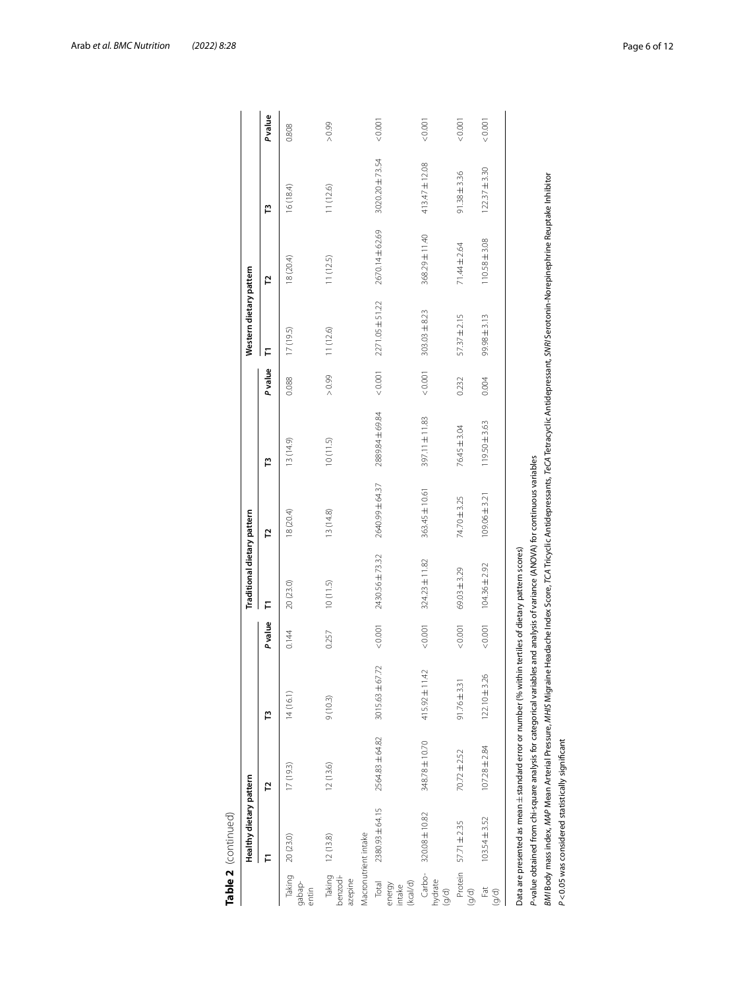|                                       | Table 2  (continued)                                             |                   |                                                                                                                                                                                                   |                |                                                               |                   |                   |                |                         |                   |                    |        |
|---------------------------------------|------------------------------------------------------------------|-------------------|---------------------------------------------------------------------------------------------------------------------------------------------------------------------------------------------------|----------------|---------------------------------------------------------------|-------------------|-------------------|----------------|-------------------------|-------------------|--------------------|--------|
|                                       | Healthy dietary pattern                                          |                   |                                                                                                                                                                                                   |                | Traditional dietary pattern                                   |                   |                   |                | Western dietary pattern |                   |                    |        |
|                                       | ⋷                                                                | L,                | Ë                                                                                                                                                                                                 | <b>P</b> value | ₣                                                             | բ                 | Ë                 | <b>P</b> value | Е                       | 5                 | Ë                  | Pvalue |
| Taking<br>gabap-<br>entin             | 20 (23.0)                                                        | 17(19.3)          | 14(16.1)                                                                                                                                                                                          | 0.144          | 20 (23.0)                                                     | 18 (20.4)         | 13(14.9)          | 0.088          | 17(19.5)                | 18 (20.4)         | 16 (18.4)          | 0.808  |
| Taking<br>benzodi-<br>azepine         | 12(13.8)                                                         | 12(13.6)          | 9(10.3)                                                                                                                                                                                           | 0.257          | 10(11.5)                                                      | 13(14.8)          | 10(11.5)          | 66.0 <         | 11(12.6)                | 11(12.5)          | 11(12.6)           | 660 <  |
|                                       | Macronutrient intake                                             |                   |                                                                                                                                                                                                   |                |                                                               |                   |                   |                |                         |                   |                    |        |
| Total<br>(kcal/d)<br>energy<br>intake | 2380.93±64.15                                                    | 2564.83 ± 64.82   | 3015.63 ±67.72                                                                                                                                                                                    | 0.001          | 2430.56 ± 73.32                                               | 2640.99±64.37     | 2889.84 ± 69.84   | 0.001          | 2271.05 ± 51.22         | 2670.14±62.69     | 3020.20 ±73.54     | 0.001  |
| Carbo-<br>hydrate<br>(g/d)            | 320.08 ± 10.82                                                   | 348.78 ± 10.70    | 415.92 ± 11.42                                                                                                                                                                                    | 0.001          | $324.23 \pm 11.82$                                            | 363.45±10.61      | 397.11 ± 11.83    | 10000          | $303.03 \pm 8.23$       | 368.29±11.40      | $413.47 \pm 12.08$ | 0.001  |
| Protein<br>(9/d)                      | 57.71 ± 2.35                                                     | $70.72 \pm 2.52$  | $91.76 \pm 3.31$                                                                                                                                                                                  | &0.001         | $69.03 \pm 3.29$                                              | 74.70 ± 3.25      | 76.45 ± 3.04      | 0.232          | $57.37 \pm 2.15$        | 71.44±2.64        | $91.38 \pm 3.36$   | 0.001  |
| Fat<br>(9/d)                          | $103.54 \pm 3.52$                                                | $107.28 \pm 2.84$ | $122.10 \pm 3.26$                                                                                                                                                                                 | 10000          | $104.36 \pm 2.92$                                             | $109.06 \pm 3.21$ | $119.50 \pm 3.63$ | 0.004          | $99.98 \pm 3.13$        | $110.58 \pm 3.08$ | $122.37 \pm 3.30$  | 10000  |
|                                       |                                                                  |                   | Data are presented as mean ± standard error or number (% within tertiles of dietary pattern scores)                                                                                               |                |                                                               |                   |                   |                |                         |                   |                    |        |
|                                       | P-value obtained from chi-square analysis for categorical variab |                   | BMI Body mass index, MAP Mean Arterial Pressure, MHIS Migraine Headache Index Score, TCA Tricyclic Antidepressants, TeCA Tetracyclic Antidepressant, SNRI Serotonin-Norephrine Reuptake Inhibitor |                | les and analysis of variance (ANOVA) for continuous variables |                   |                   |                |                         |                   |                    |        |
|                                       | P<0.05 was considered statistically significant                  |                   |                                                                                                                                                                                                   |                |                                                               |                   |                   |                |                         |                   |                    |        |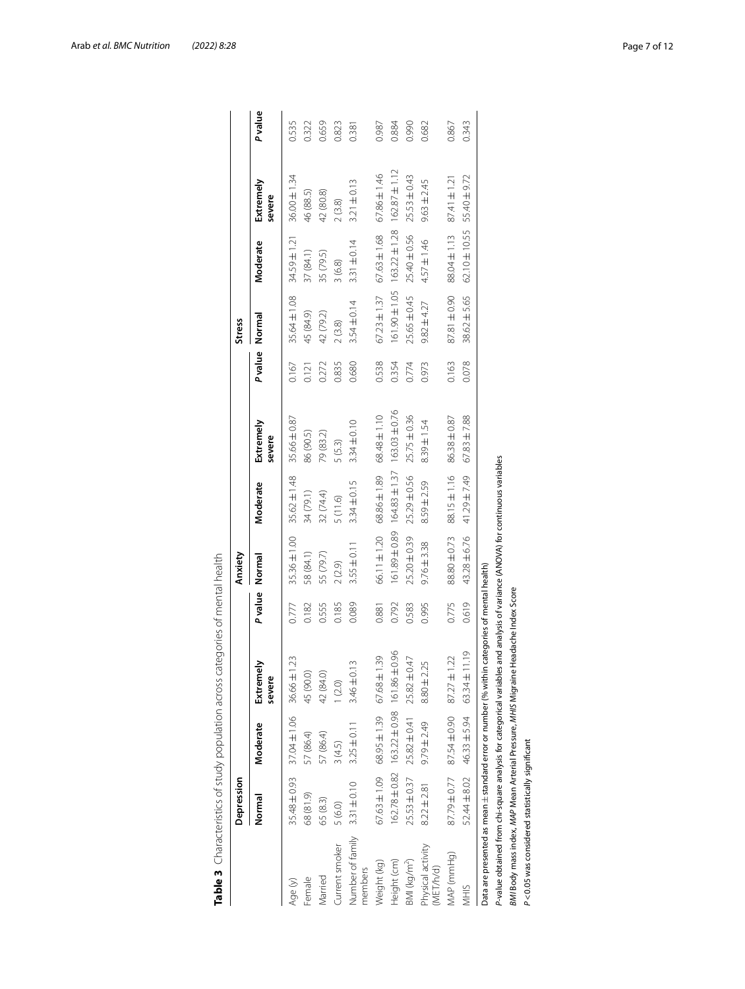|                                                                | Depression       |                                      |                                                                                                                               |                      | Anxiety         |                  |                                                 |         | <b>Stress</b>    |                                                       |                     |        |
|----------------------------------------------------------------|------------------|--------------------------------------|-------------------------------------------------------------------------------------------------------------------------------|----------------------|-----------------|------------------|-------------------------------------------------|---------|------------------|-------------------------------------------------------|---------------------|--------|
|                                                                | Normal           | Moderate                             | Extremely<br>severe                                                                                                           | P value Normal       |                 | Moderate         | Extremely<br>severe                             | P value | Normal           | Moderate                                              | Extremely<br>severe | Pvalue |
| Age (y)                                                        | 35.48 ± 0.93     | 37.04±1.06 36.66±1                   | 23                                                                                                                            | 0.777                | 35.36±1.00      | $35.62 \pm 1.48$ | 35.66±0.87                                      | 0.167   | 35.64±1.08       | 34.59±1.21                                            | $36.00 \pm 1.34$    | 0.535  |
| Female                                                         | 68 (81.9)        | 57 (86.4)                            | 45 (90.0)                                                                                                                     | 0.182                | 58 (84.1)       | 34 (79.1)        | 86 (90.5)                                       | 0.121   | 45 (84.9)        | 37 (84.1)                                             | 46 (88.5)           | 0.322  |
| Married                                                        | 65 (8.3)         | 57 (86.4)                            | 42 (84.0)                                                                                                                     | 0.555                | 55 (79.7)       | 32 (74.4)        | 79 (83.2)                                       | 0.272   | 42 (79.2)        | 35 (79.5)                                             | 42 (80.8)           | 0.659  |
| Current smoker                                                 | 5(6.0)           | 3(4.5)                               | (2.0)                                                                                                                         | 0.185                | 2(2.9)          | 5(11.6)          | 5(5.3)                                          | 0.835   | 2(3.8)           | 3(6.8)                                                | 2(3.8)              | 0.823  |
| Number of family<br>members                                    | $3.31 \pm 0.10$  | $3.25 \pm 0.11$                      | m<br>$3.46 \pm 0.$                                                                                                            | 0.089                | $3.55 \pm 0.11$ | $3.34 \pm 0.15$  | 3.34±0.10                                       | 0.680   | $3.54 \pm 0.14$  | $3.31 \pm 0.14$                                       | $3.21 \pm 0.13$     | 0.381  |
| Neight (kg)                                                    |                  | 67.63±1.09 68.95±1.39                | 39<br>$67.68 \pm 1$                                                                                                           | 0.881                | 66.11 ± 1.20    | 68.86±1.89       | $68.48 \pm 1.10$                                | 0.538   | $67.23 \pm 1.37$ | $67.63 \pm 1.68$                                      | $67.86 \pm 1.46$    | 0.987  |
| Height (cm)                                                    |                  | 162.78±0.82 163.22±0.98 161.86±0.96  |                                                                                                                               | 0.792                |                 |                  | $161.89 + 0.89$ $164.83 + 1.37$ $163.03 + 0.76$ | 0.354   |                  | $161.90 \pm 1.05$ $163.22 \pm 1.28$ $162.87 \pm 1.12$ |                     | 0.884  |
| BMI (kg/m <sup>2</sup> )                                       | $25.53 \pm 0.37$ | $25.82 \pm 0.41$<br>$25.82 \pm 0.47$ |                                                                                                                               | 0.583                | 25.20±0.39      | $25.29 \pm 0.56$ | $25.75 \pm 0.36$                                | 0.774   | 25.65 ± 0.45     | 25.40±0.56                                            | $25.53 \pm 0.43$    | 0.990  |
| Physical activity<br>(MET/h/d)                                 | $8.22 \pm 2.81$  | $9.79 \pm 2.49$                      | $8.80 \pm 2.25$                                                                                                               | 0.995                | $9.76 \pm 3.38$ | 8.59±2.59        | $8.39 \pm 1.54$                                 | 0.973   | $9.82 \pm 4.27$  | $4.57 \pm 1.46$                                       | $9.63 \pm 2.45$     | 0.682  |
| MAP (mmHg)                                                     | 87.79±0.77       | 87.54±0.90                           | $\tilde{\sim}$<br>$87.27 \pm 1$                                                                                               | 0.775                | 88.80 ± 0.73    | 88.15±1.16       | 86.38 ± 0.87                                    | 0.163   | 87.81 ± 0.90     | 88.04±1.13                                            | $87.41 \pm 1.21$    | 0.867  |
| NHIS                                                           | 52.44 ± 8.02     | $46.33 \pm 5.94$                     | 11.19<br>$63.34 \pm 1$                                                                                                        | 0.619                | 43.28±6.76      | 41.29 ± 7.49     | $67.83 \pm 7.88$                                | 0.078   | 38.62 ± 5.65     | 62.10±10.55                                           | 55.40±9.72          | 0.343  |
|                                                                |                  |                                      | Data are presented as mean $\pm$ standard error or number (% within categories of mental health)                              |                      |                 |                  |                                                 |         |                  |                                                       |                     |        |
|                                                                |                  |                                      | P-value obtained from chi-square analysis for categorical variables and analysis of variance (ANOVA) for continuous variables |                      |                 |                  |                                                 |         |                  |                                                       |                     |        |
| BMI Body mass index, MAP Mean Arterial Pressure, MHIS Migraine |                  |                                      |                                                                                                                               | Headache Index Score |                 |                  |                                                 |         |                  |                                                       |                     |        |
| P<0.05 was considered statistically significant                |                  |                                      |                                                                                                                               |                      |                 |                  |                                                 |         |                  |                                                       |                     |        |

<span id="page-6-0"></span>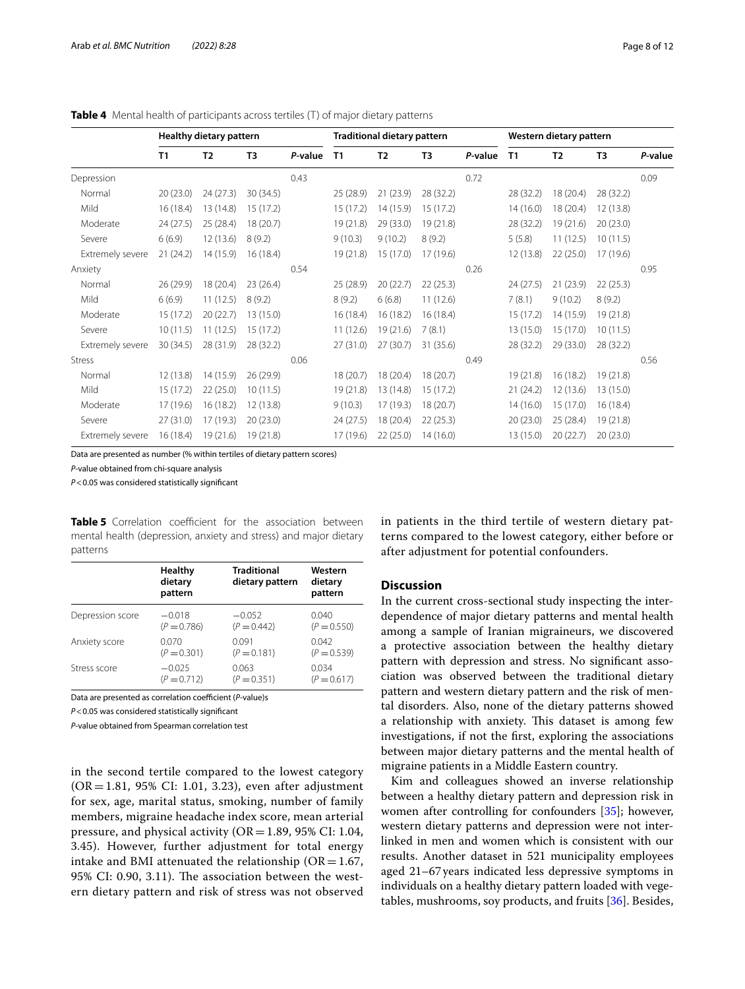|                  |           | Healthy dietary pattern |           |         |                | <b>Traditional dietary pattern</b> |                |         |                | Western dietary pattern |                |         |
|------------------|-----------|-------------------------|-----------|---------|----------------|------------------------------------|----------------|---------|----------------|-------------------------|----------------|---------|
|                  | T1        | T <sub>2</sub>          | T3        | P-value | T <sub>1</sub> | T <sub>2</sub>                     | T <sub>3</sub> | P-value | T <sub>1</sub> | T <sub>2</sub>          | T <sub>3</sub> | P-value |
| Depression       |           |                         |           | 0.43    |                |                                    |                | 0.72    |                |                         |                | 0.09    |
| Normal           | 20(23.0)  | 24(27.3)                | 30(34.5)  |         | 25(28.9)       | 21(23.9)                           | 28 (32.2)      |         | 28 (32.2)      | 18 (20.4)               | 28 (32.2)      |         |
| Mild             | 16(18.4)  | 13 (14.8)               | 15 (17.2) |         | 15 (17.2)      | 14 (15.9)                          | 15 (17.2)      |         | 14(16.0)       | 18 (20.4)               | 12 (13.8)      |         |
| Moderate         | 24 (27.5) | 25 (28.4)               | 18 (20.7) |         | 19 (21.8)      | 29 (33.0)                          | 19 (21.8)      |         | 28 (32.2)      | 19 (21.6)               | 20(23.0)       |         |
| Severe           | 6(6.9)    | 12(13.6)                | 8(9.2)    |         | 9(10.3)        | 9(10.2)                            | 8(9.2)         |         | 5(5.8)         | 11(12.5)                | 10(11.5)       |         |
| Extremely severe | 21(24.2)  | 14 (15.9)               | 16(18.4)  |         | 19(21.8)       | 15 (17.0)                          | 17 (19.6)      |         | 12(13.8)       | 22(25.0)                | 17 (19.6)      |         |
| Anxiety          |           |                         |           | 0.54    |                |                                    |                | 0.26    |                |                         |                | 0.95    |
| Normal           | 26 (29.9) | 18 (20.4)               | 23(26.4)  |         | 25 (28.9)      | 20(22.7)                           | 22(25.3)       |         | 24 (27.5)      | 21(23.9)                | 22(25.3)       |         |
| Mild             | 6(6.9)    | 11(12.5)                | 8(9.2)    |         | 8(9.2)         | 6(6.8)                             | 11(12.6)       |         | 7(8.1)         | 9(10.2)                 | 8(9.2)         |         |
| Moderate         | 15(17.2)  | 20(22.7)                | 13 (15.0) |         | 16(18.4)       | 16(18.2)                           | 16(18.4)       |         | 15 (17.2)      | 14 (15.9)               | 19(21.8)       |         |
| Severe           | 10(11.5)  | 11(12.5)                | 15(17.2)  |         | 11(12.6)       | 19 (21.6)                          | 7(8.1)         |         | 13 (15.0)      | 15 (17.0)               | 10(11.5)       |         |
| Extremely severe | 30(34.5)  | 28 (31.9)               | 28 (32.2) |         | 27(31.0)       | 27(30.7)                           | 31 (35.6)      |         | 28 (32.2)      | 29 (33.0)               | 28 (32.2)      |         |
| <b>Stress</b>    |           |                         |           | 0.06    |                |                                    |                | 0.49    |                |                         |                | 0.56    |
| Normal           | 12(13.8)  | 14 (15.9)               | 26(29.9)  |         | 18 (20.7)      | 18(20.4)                           | 18 (20.7)      |         | 19(21.8)       | 16(18.2)                | 19 (21.8)      |         |
| Mild             | 15(17.2)  | 22(25.0)                | 10(11.5)  |         | 19 (21.8)      | 13 (14.8)                          | 15 (17.2)      |         | 21(24.2)       | 12 (13.6)               | 13 (15.0)      |         |
| Moderate         | 17(19.6)  | 16 (18.2)               | 12 (13.8) |         | 9(10.3)        | 17(19.3)                           | 18 (20.7)      |         | 14(16.0)       | 15 (17.0)               | 16 (18.4)      |         |
| Severe           | 27(31.0)  | 17 (19.3)               | 20(23.0)  |         | 24 (27.5)      | 18 (20.4)                          | 22(25.3)       |         | 20(23.0)       | 25 (28.4)               | 19(21.8)       |         |
| Extremely severe | 16(18.4)  | 19(21.6)                | 19 (21.8) |         | 17 (19.6)      | 22(25.0)                           | 14(16.0)       |         | 13 (15.0)      | 20(22.7)                | 20(23.0)       |         |

#### <span id="page-7-0"></span>**Table 4** Mental health of participants across tertiles (T) of major dietary patterns

Data are presented as number (% within tertiles of dietary pattern scores)

*P*-value obtained from chi-square analysis

*P*<0.05 was considered statistically signifcant

<span id="page-7-1"></span>**Table 5** Correlation coefficient for the association between mental health (depression, anxiety and stress) and major dietary patterns

|                  | <b>Healthy</b><br>dietary<br>pattern | <b>Traditional</b><br>dietary pattern | Western<br>dietary<br>pattern |
|------------------|--------------------------------------|---------------------------------------|-------------------------------|
| Depression score | $-0.018$                             | $-0.052$                              | 0.040                         |
|                  | $(P = 0.786)$                        | $(P = 0.442)$                         | $(P = 0.550)$                 |
| Anxiety score    | 0.070                                | 0.091                                 | 0.042                         |
|                  | $(P = 0.301)$                        | $(P = 0.181)$                         | $(P = 0.539)$                 |
| Stress score     | $-0.025$                             | 0.063                                 | 0.034                         |
|                  | $(P = 0.712)$                        | $(P = 0.351)$                         | $(P = 0.617)$                 |

Data are presented as correlation coefficient (*P*-value)s

*P*<0.05 was considered statistically signifcant

*P*-value obtained from Spearman correlation test

in the second tertile compared to the lowest category  $(OR = 1.81, 95\% \text{ CI: } 1.01, 3.23)$ , even after adjustment for sex, age, marital status, smoking, number of family members, migraine headache index score, mean arterial pressure, and physical activity (OR=1.89, 95% CI: 1.04, 3.45). However, further adjustment for total energy intake and BMI attenuated the relationship ( $OR = 1.67$ , 95% CI: 0.90, 3.11). The association between the western dietary pattern and risk of stress was not observed in patients in the third tertile of western dietary patterns compared to the lowest category, either before or after adjustment for potential confounders.

## **Discussion**

In the current cross-sectional study inspecting the interdependence of major dietary patterns and mental health among a sample of Iranian migraineurs, we discovered a protective association between the healthy dietary pattern with depression and stress. No signifcant association was observed between the traditional dietary pattern and western dietary pattern and the risk of mental disorders. Also, none of the dietary patterns showed a relationship with anxiety. This dataset is among few investigations, if not the frst, exploring the associations between major dietary patterns and the mental health of migraine patients in a Middle Eastern country.

Kim and colleagues showed an inverse relationship between a healthy dietary pattern and depression risk in women after controlling for confounders [\[35](#page-11-9)]; however, western dietary patterns and depression were not interlinked in men and women which is consistent with our results. Another dataset in 521 municipality employees aged 21–67years indicated less depressive symptoms in individuals on a healthy dietary pattern loaded with vegetables, mushrooms, soy products, and fruits [\[36\]](#page-11-10). Besides,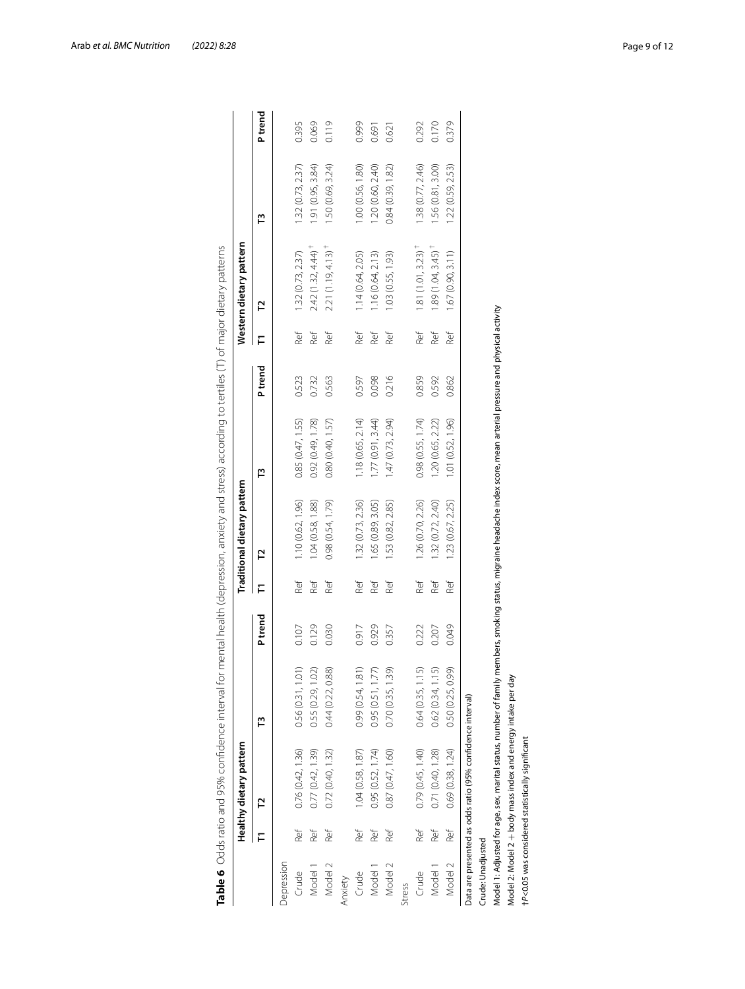|                    |     | Healthy dietary pattern                                      |                                                                                                                                                                       |         |     | Traditional dietary pattern |                   |                |     | Western dietary pattern         |                   |        |
|--------------------|-----|--------------------------------------------------------------|-----------------------------------------------------------------------------------------------------------------------------------------------------------------------|---------|-----|-----------------------------|-------------------|----------------|-----|---------------------------------|-------------------|--------|
|                    | F   | 5                                                            | Ľ                                                                                                                                                                     | P trend |     | 51                          | Ë                 | <b>P</b> trend | F   | 5                               | Ľ                 | Ptrend |
| Depression         |     |                                                              |                                                                                                                                                                       |         |     |                             |                   |                |     |                                 |                   |        |
| Crude              | Ref | 0.76(0.42, 1.36)                                             | 0.56(0.31, 1.01)                                                                                                                                                      | 0.107   | Ref | 1.10 (0.62, 1.96)           | 0.85(0.47, 1.55)  | 0.523          | Ref | 1.32(0.73, 2.37)                | 1.32(0.73, 2.37)  | 0.395  |
| Model 1            | Ref | 0.77 (0.42, 1.39)                                            | 0.55 (0.29, 1.02)                                                                                                                                                     | 0.129   | Ref | 1.04(0.58, 1.88)            | 0.92 (0.49, 1.78) | 0.732          | Ref | $2.42(1.32, 4.44)^+$            | .91(0.95, 3.84)   | 0.069  |
| Model 2            | Ref | 0.72(0.40, 1.32)                                             | 0.44 (0.22, 0.88)                                                                                                                                                     | 0.030   | Ref | 0.98(0.54, 1.79)            | 0.80 (0.40, 1.57) | 0.563          | Ref | $2.21(1.19, 4.13)$ <sup>†</sup> | .50(0.69, 3.24)   | 0.119  |
| Anxiety            |     |                                                              |                                                                                                                                                                       |         |     |                             |                   |                |     |                                 |                   |        |
| Crude              | Ref | 1.04(0.58, 1.87)                                             | 0.99(0.54, 1.81)                                                                                                                                                      | 0.917   | Ref | 1.32(0.73, 2.36)            | 1.18 (0.65, 2.14) | 0.597          | Ref | 1.14 (0.64, 2.05)               | 1.00 (0.56, 1.80) | 0.999  |
| Model 1            | Ref | 0.95(0.52, 1.74)                                             | 0.95(0.51, 1.77)                                                                                                                                                      | 0.929   | Ref | .65 (0.89, 3.05)            | 1.77(0.91, 3.44)  | 0.098          | Ref | 1.16(0.64, 2.13)                | 1.20(0.60, 2.40)  | 0.691  |
| Model <sub>2</sub> | Ref | 0.87 (0.47, 1.60)                                            | 0.70(0.35, 1.39)                                                                                                                                                      | 0.357   | Ref | 1.53 (0.82, 2.85)           | 1.47 (0.73, 2.94) | 0.216          | Ref | 1.03 (0.55, 1.93)               | 0.84(0.39, 1.82)  | 0.621  |
| Stress             |     |                                                              |                                                                                                                                                                       |         |     |                             |                   |                |     |                                 |                   |        |
| Crude              | Ref | 0.79(0.45, 1.40)                                             | 0.64(0.35, 1.15)                                                                                                                                                      | 0.222   | Ref | 1.26 (0.70, 2.26)           | 0.98(0.55, 1.74)  | 0.859          | Ref | $1.81(1.01, 3.23)^+$            | 1.38(0.77, 2.46)  | 0.292  |
| Model 1            | Ref | 0.71 (0.40, 1.28)                                            | 0.62(0.34, 1.15)                                                                                                                                                      | 0.207   | Ref | 1.32(0.72, 2.40)            | 1.20 (0.65, 2.22) | 0.592          | Ref | $1.89(1.04, 3.45)^+$            | 1.56(0.81, 3.00)  | 0.170  |
| Model 2            | Ref | 0.69(0.38, 1.24)                                             | 0.50 (0.25, 0.99)                                                                                                                                                     | 0.049   | Ref | 1.23(0.67, 2.25)            | 1.01 (0.52, 1.96) | 0.862          | Ref | 1.67(0.90, 3.11)                | 1.22 (0.59, 2.53) | 0.379  |
|                    |     | Data are presented as odds ratio (95% confidence interval)   |                                                                                                                                                                       |         |     |                             |                   |                |     |                                 |                   |        |
| Crude: Unadjusted  |     |                                                              |                                                                                                                                                                       |         |     |                             |                   |                |     |                                 |                   |        |
|                    |     |                                                              | Model 1: Adjusted for age, sex, marital status, number of family members, smoking status, migraine headache index score, mean arterial pressure and physical activity |         |     |                             |                   |                |     |                                 |                   |        |
|                    |     | Model 2: Model 2 + body mass index and energy intake per day |                                                                                                                                                                       |         |     |                             |                   |                |     |                                 |                   |        |
|                    |     | tP<0.05 was considered statistically significant             |                                                                                                                                                                       |         |     |                             |                   |                |     |                                 |                   |        |

<span id="page-8-0"></span>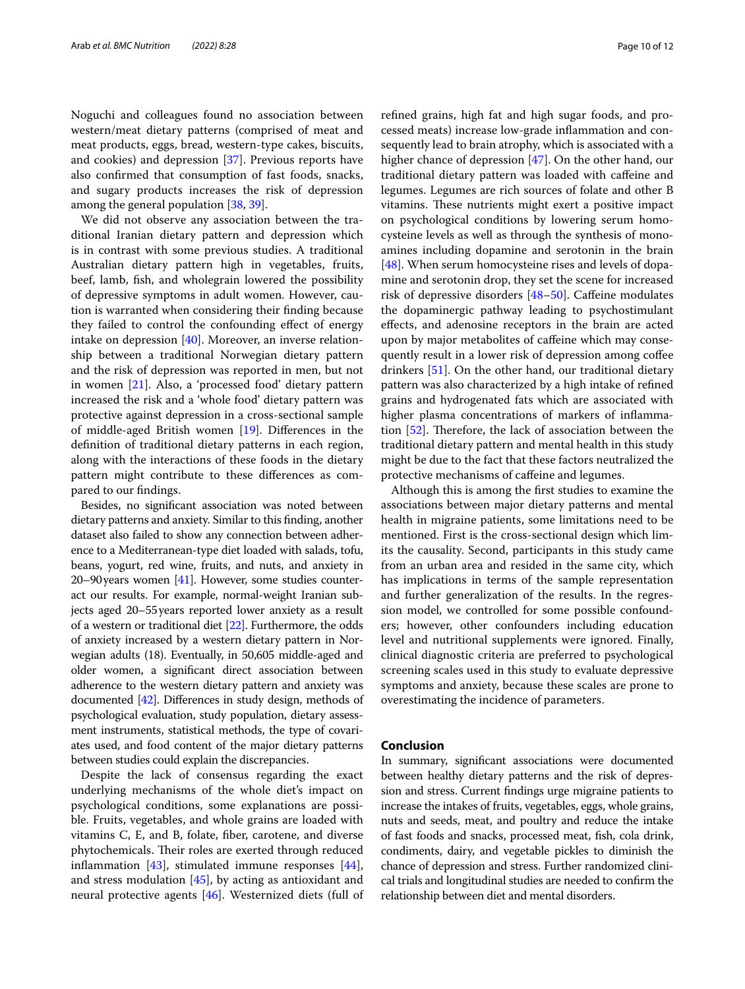Noguchi and colleagues found no association between western/meat dietary patterns (comprised of meat and meat products, eggs, bread, western-type cakes, biscuits, and cookies) and depression [\[37](#page-11-11)]. Previous reports have also confrmed that consumption of fast foods, snacks, and sugary products increases the risk of depression among the general population [[38](#page-11-12), [39\]](#page-11-13).

We did not observe any association between the traditional Iranian dietary pattern and depression which is in contrast with some previous studies. A traditional Australian dietary pattern high in vegetables, fruits, beef, lamb, fsh, and wholegrain lowered the possibility of depressive symptoms in adult women. However, caution is warranted when considering their fnding because they failed to control the confounding effect of energy intake on depression [\[40\]](#page-11-14). Moreover, an inverse relationship between a traditional Norwegian dietary pattern and the risk of depression was reported in men, but not in women [[21\]](#page-10-18). Also, a 'processed food' dietary pattern increased the risk and a 'whole food' dietary pattern was protective against depression in a cross-sectional sample of middle-aged British women [[19](#page-10-16)]. Diferences in the defnition of traditional dietary patterns in each region, along with the interactions of these foods in the dietary pattern might contribute to these diferences as compared to our fndings.

Besides, no signifcant association was noted between dietary patterns and anxiety. Similar to this fnding, another dataset also failed to show any connection between adherence to a Mediterranean-type diet loaded with salads, tofu, beans, yogurt, red wine, fruits, and nuts, and anxiety in 20–90 years women  $[41]$ . However, some studies counteract our results. For example, normal-weight Iranian subjects aged 20–55years reported lower anxiety as a result of a western or traditional diet [\[22\]](#page-10-19). Furthermore, the odds of anxiety increased by a western dietary pattern in Norwegian adults (18). Eventually, in 50,605 middle-aged and older women, a signifcant direct association between adherence to the western dietary pattern and anxiety was documented [\[42](#page-11-16)]. Diferences in study design, methods of psychological evaluation, study population, dietary assessment instruments, statistical methods, the type of covariates used, and food content of the major dietary patterns between studies could explain the discrepancies.

Despite the lack of consensus regarding the exact underlying mechanisms of the whole diet's impact on psychological conditions, some explanations are possible. Fruits, vegetables, and whole grains are loaded with vitamins C, E, and B, folate, fber, carotene, and diverse phytochemicals. Their roles are exerted through reduced inflammation  $[43]$ , stimulated immune responses  $[44]$  $[44]$ , and stress modulation [[45\]](#page-11-19), by acting as antioxidant and neural protective agents [[46](#page-11-20)]. Westernized diets (full of refned grains, high fat and high sugar foods, and processed meats) increase low-grade infammation and consequently lead to brain atrophy, which is associated with a higher chance of depression [\[47](#page-11-21)]. On the other hand, our traditional dietary pattern was loaded with cafeine and legumes. Legumes are rich sources of folate and other B vitamins. These nutrients might exert a positive impact on psychological conditions by lowering serum homocysteine levels as well as through the synthesis of monoamines including dopamine and serotonin in the brain [[48\]](#page-11-22). When serum homocysteine rises and levels of dopamine and serotonin drop, they set the scene for increased risk of depressive disorders [[48](#page-11-22)[–50](#page-11-23)]. Cafeine modulates the dopaminergic pathway leading to psychostimulant efects, and adenosine receptors in the brain are acted upon by major metabolites of cafeine which may consequently result in a lower risk of depression among cofee drinkers [\[51\]](#page-11-24). On the other hand, our traditional dietary pattern was also characterized by a high intake of refned grains and hydrogenated fats which are associated with higher plasma concentrations of markers of inflammation  $[52]$  $[52]$ . Therefore, the lack of association between the traditional dietary pattern and mental health in this study might be due to the fact that these factors neutralized the protective mechanisms of cafeine and legumes.

Although this is among the frst studies to examine the associations between major dietary patterns and mental health in migraine patients, some limitations need to be mentioned. First is the cross-sectional design which limits the causality. Second, participants in this study came from an urban area and resided in the same city, which has implications in terms of the sample representation and further generalization of the results. In the regression model, we controlled for some possible confounders; however, other confounders including education level and nutritional supplements were ignored. Finally, clinical diagnostic criteria are preferred to psychological screening scales used in this study to evaluate depressive symptoms and anxiety, because these scales are prone to overestimating the incidence of parameters.

## **Conclusion**

In summary, signifcant associations were documented between healthy dietary patterns and the risk of depression and stress. Current fndings urge migraine patients to increase the intakes of fruits, vegetables, eggs, whole grains, nuts and seeds, meat, and poultry and reduce the intake of fast foods and snacks, processed meat, fsh, cola drink, condiments, dairy, and vegetable pickles to diminish the chance of depression and stress. Further randomized clinical trials and longitudinal studies are needed to confrm the relationship between diet and mental disorders.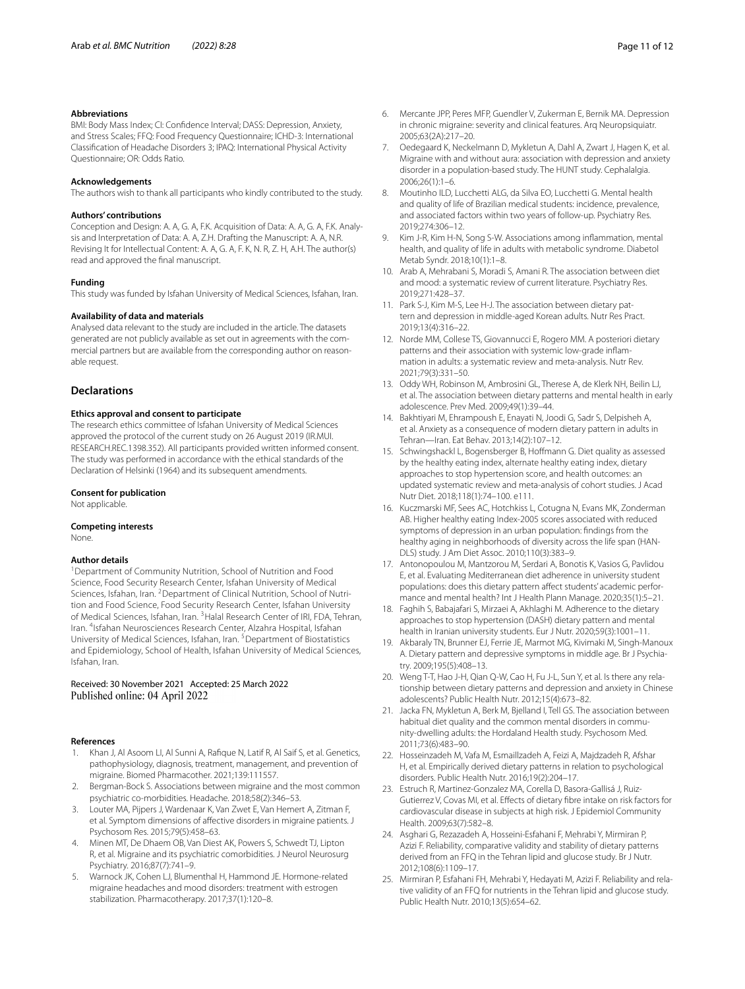#### **Abbreviations**

BMI: Body Mass Index; CI: Confdence Interval; DASS: Depression, Anxiety, and Stress Scales; FFQ: Food Frequency Questionnaire; ICHD-3: International Classifcation of Headache Disorders 3; IPAQ: International Physical Activity Questionnaire; OR: Odds Ratio.

#### **Acknowledgements**

The authors wish to thank all participants who kindly contributed to the study.

#### **Authors' contributions**

Conception and Design: A. A, G. A, F.K. Acquisition of Data: A. A, G. A, F.K. Analysis and Interpretation of Data: A. A, Z.H. Drafting the Manuscript: A. A, N.R. Revising It for Intellectual Content: A. A, G. A, F. K, N. R, Z. H, A.H. The author(s) read and approved the fnal manuscript.

#### **Funding**

This study was funded by Isfahan University of Medical Sciences, Isfahan, Iran.

#### **Availability of data and materials**

Analysed data relevant to the study are included in the article. The datasets generated are not publicly available as set out in agreements with the commercial partners but are available from the corresponding author on reasonable request.

#### **Declarations**

#### **Ethics approval and consent to participate**

The research ethics committee of Isfahan University of Medical Sciences approved the protocol of the current study on 26 August 2019 (IR.MUI. RESEARCH.REC.1398.352). All participants provided written informed consent. The study was performed in accordance with the ethical standards of the Declaration of Helsinki (1964) and its subsequent amendments.

#### **Consent for publication**

Not applicable.

#### **Competing interests**

None.

#### **Author details**

<sup>1</sup> Department of Community Nutrition, School of Nutrition and Food Science, Food Security Research Center, Isfahan University of Medical Sciences, Isfahan, Iran. <sup>2</sup>Department of Clinical Nutrition, School of Nutrition and Food Science, Food Security Research Center, Isfahan University of Medical Sciences, Isfahan, Iran. 3Halal Research Center of IRI, FDA, Tehran, Iran. 4Isfahan Neurosciences Research Center, Alzahra Hospital, Isfahan University of Medical Sciences, Isfahan, Iran. 5Department of Biostatistics and Epidemiology, School of Health, Isfahan University of Medical Sciences, Isfahan, Iran.

## Received: 30 November 2021 Accepted: 25 March 2022

#### **References**

- <span id="page-10-0"></span>1. Khan J, Al Asoom LI, Al Sunni A, Rafque N, Latif R, Al Saif S, et al. Genetics, pathophysiology, diagnosis, treatment, management, and prevention of migraine. Biomed Pharmacother. 2021;139:111557.
- <span id="page-10-1"></span>2. Bergman-Bock S. Associations between migraine and the most common psychiatric co-morbidities. Headache. 2018;58(2):346–53.
- <span id="page-10-2"></span>3. Louter MA, Pijpers J, Wardenaar K, Van Zwet E, Van Hemert A, Zitman F, et al. Symptom dimensions of afective disorders in migraine patients. J Psychosom Res. 2015;79(5):458–63.
- <span id="page-10-3"></span>4. Minen MT, De Dhaem OB, Van Diest AK, Powers S, Schwedt TJ, Lipton R, et al. Migraine and its psychiatric comorbidities. J Neurol Neurosurg Psychiatry. 2016;87(7):741–9.
- <span id="page-10-4"></span>5. Warnock JK, Cohen LJ, Blumenthal H, Hammond JE. Hormone-related migraine headaches and mood disorders: treatment with estrogen stabilization. Pharmacotherapy. 2017;37(1):120–8.
- <span id="page-10-5"></span>6. Mercante JPP, Peres MFP, Guendler V, Zukerman E, Bernik MA. Depression in chronic migraine: severity and clinical features. Arq Neuropsiquiatr. 2005;63(2A):217–20.
- 7. Oedegaard K, Neckelmann D, Mykletun A, Dahl A, Zwart J, Hagen K, et al. Migraine with and without aura: association with depression and anxiety disorder in a population-based study. The HUNT study. Cephalalgia. 2006;26(1):1–6.
- 8. Moutinho ILD, Lucchetti ALG, da Silva EO, Lucchetti G. Mental health and quality of life of Brazilian medical students: incidence, prevalence, and associated factors within two years of follow-up. Psychiatry Res. 2019;274:306–12.
- <span id="page-10-6"></span>9. Kim J-R, Kim H-N, Song S-W. Associations among infammation, mental health, and quality of life in adults with metabolic syndrome. Diabetol Metab Syndr. 2018;10(1):1–8.
- <span id="page-10-7"></span>10. Arab A, Mehrabani S, Moradi S, Amani R. The association between diet and mood: a systematic review of current literature. Psychiatry Res. 2019;271:428–37.
- <span id="page-10-8"></span>11. Park S-J, Kim M-S, Lee H-J. The association between dietary pattern and depression in middle-aged Korean adults. Nutr Res Pract. 2019;13(4):316–22.
- <span id="page-10-9"></span>12. Norde MM, Collese TS, Giovannucci E, Rogero MM. A posteriori dietary patterns and their association with systemic low-grade infammation in adults: a systematic review and meta-analysis. Nutr Rev. 2021;79(3):331–50.
- <span id="page-10-10"></span>13. Oddy WH, Robinson M, Ambrosini GL, Therese A, de Klerk NH, Beilin LJ, et al. The association between dietary patterns and mental health in early adolescence. Prev Med. 2009;49(1):39–44.
- <span id="page-10-11"></span>14. Bakhtiyari M, Ehrampoush E, Enayati N, Joodi G, Sadr S, Delpisheh A, et al. Anxiety as a consequence of modern dietary pattern in adults in Tehran—Iran. Eat Behav. 2013;14(2):107–12.
- <span id="page-10-12"></span>15. Schwingshackl L, Bogensberger B, Hofmann G. Diet quality as assessed by the healthy eating index, alternate healthy eating index, dietary approaches to stop hypertension score, and health outcomes: an updated systematic review and meta-analysis of cohort studies. J Acad Nutr Diet. 2018;118(1):74–100. e111.
- <span id="page-10-13"></span>16. Kuczmarski MF, Sees AC, Hotchkiss L, Cotugna N, Evans MK, Zonderman AB. Higher healthy eating Index-2005 scores associated with reduced symptoms of depression in an urban population: fndings from the healthy aging in neighborhoods of diversity across the life span (HAN-DLS) study. J Am Diet Assoc. 2010;110(3):383–9.
- <span id="page-10-14"></span>17. Antonopoulou M, Mantzorou M, Serdari A, Bonotis K, Vasios G, Pavlidou E, et al. Evaluating Mediterranean diet adherence in university student populations: does this dietary pattern afect students' academic performance and mental health? Int J Health Plann Manage. 2020;35(1):5–21.
- <span id="page-10-15"></span>18. Faghih S, Babajafari S, Mirzaei A, Akhlaghi M. Adherence to the dietary approaches to stop hypertension (DASH) dietary pattern and mental health in Iranian university students. Eur J Nutr. 2020;59(3):1001–11.
- <span id="page-10-16"></span>19. Akbaraly TN, Brunner EJ, Ferrie JE, Marmot MG, Kivimaki M, Singh-Manoux A. Dietary pattern and depressive symptoms in middle age. Br J Psychiatry. 2009;195(5):408–13.
- <span id="page-10-17"></span>20. Weng T-T, Hao J-H, Qian Q-W, Cao H, Fu J-L, Sun Y, et al. Is there any relationship between dietary patterns and depression and anxiety in Chinese adolescents? Public Health Nutr. 2012;15(4):673–82.
- <span id="page-10-18"></span>21. Jacka FN, Mykletun A, Berk M, Bjelland I, Tell GS. The association between habitual diet quality and the common mental disorders in community-dwelling adults: the Hordaland Health study. Psychosom Med. 2011;73(6):483–90.
- <span id="page-10-19"></span>22. Hosseinzadeh M, Vafa M, Esmaillzadeh A, Feizi A, Majdzadeh R, Afshar H, et al. Empirically derived dietary patterns in relation to psychological disorders. Public Health Nutr. 2016;19(2):204–17.
- <span id="page-10-20"></span>23. Estruch R, Martinez-Gonzalez MA, Corella D, Basora-Gallisá J, Ruiz-Gutierrez V, Covas MI, et al. Efects of dietary fbre intake on risk factors for cardiovascular disease in subjects at high risk. J Epidemiol Community Health. 2009;63(7):582–8.
- <span id="page-10-21"></span>24. Asghari G, Rezazadeh A, Hosseini-Esfahani F, Mehrabi Y, Mirmiran P, Azizi F. Reliability, comparative validity and stability of dietary patterns derived from an FFQ in the Tehran lipid and glucose study. Br J Nutr. 2012;108(6):1109–17.
- 25. Mirmiran P, Esfahani FH, Mehrabi Y, Hedayati M, Azizi F. Reliability and relative validity of an FFQ for nutrients in the Tehran lipid and glucose study. Public Health Nutr. 2010;13(5):654–62.